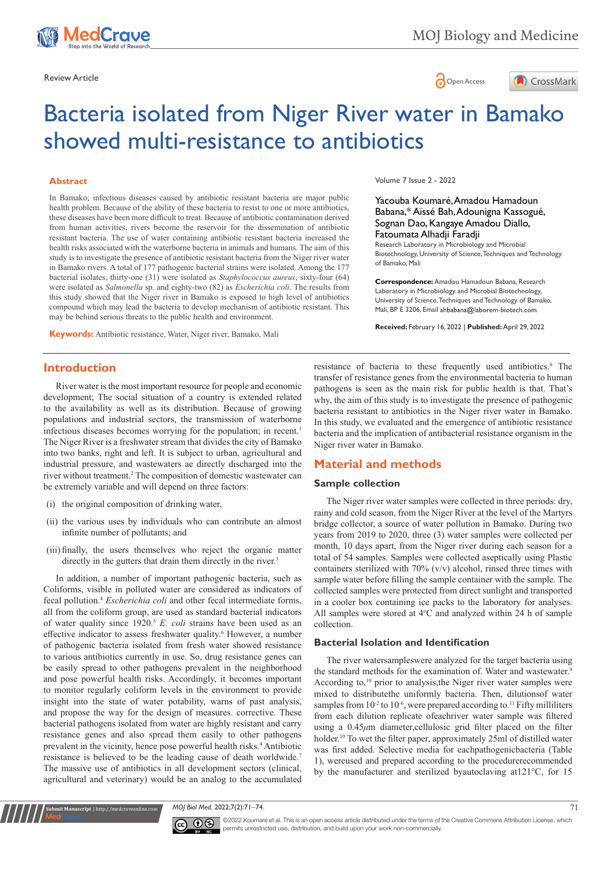



# Bacteria isolated from Niger River water in Bamako showed multi-resistance to antibiotics

#### **Abstract**

In Bamako; infectious diseases caused by antibiotic resistant bacteria are major public health problem. Because of the ability of these bacteria to resist to one or more antibiotics, these diseases have been more difficult to treat. Because of antibiotic contamination derived from human activities, rivers become the reservoir for the dissemination of antibiotic resistant bacteria. The use of water containing antibiotic resistant bacteria increased the health risks associated with the waterborne bacteria in animals and humans. The aim of this study is to investigate the presence of antibiotic resistant bacteria from the Niger river water in Bamako rivers. A total of 177 pathogenic bacterial strains were isolated. Among the 177 bacterial isolates, thirty-one (31) were isolated as *Staphylococcus aureus*, sixty-four (64) were isolated as *Salmonella* sp. and eighty-two (82) as *Escherichia coli*. The results from this study showed that the Niger river in Bamako is exposed to high level of antibiotics compound which may lead the bacteria to develop mechanism of antibiotic resistant. This may be behind serious threats to the public health and environment.

**Keywords:** Antibiotic resistance, Water, Niger river, Bamako, Mali

Volume 7 Issue 2 - 2022

Yacouba Koumaré, Amadou Hamadoun Babana,\* Aïssé Bah, Adounigna Kassogué, Sognan Dao, Kangaye Amadou Diallo, Fatoumata Alhadji Faradji

Research Laboratory in Microbiology and Microbial Biotechnology, University of Science, Techniques and Technology of Bamako, Mali

**Correspondence:** Amadou Hamadoun Babana, Research Laboratory in Microbiology and Microbial Biotechnology, University of Science, Techniques and Technology of Bamako, Mali, BP E 3206, Email ahbabana@laborem-biotech.com

**Received:** February 16, 2022 | **Published:** April 29, 2022

# **Introduction**

River water is the most important resource for people and economic development; The social situation of a country is extended related to the availability as well as its distribution. Because of growing populations and industrial sectors, the transmission of waterborne infectious diseases becomes worrying for the population; in recent.<sup>1</sup> The Niger River is a freshwater stream that divides the city of Bamako into two banks, right and left. It is subject to urban, agricultural and industrial pressure, and wastewaters ae directly discharged into the river without treatment.2 The composition of domestic wastewater can be extremely variable and will depend on three factors:

- (i) the original composition of drinking water,
- (ii) the various uses by individuals who can contribute an almost infinite number of pollutants; and
- (iii) finally, the users themselves who reject the organic matter directly in the gutters that drain them directly in the river.<sup>3</sup>

In addition, a number of important pathogenic bacteria, such as Coliforms, visible in polluted water are considered as indicators of fecal pollution.4 *Escherichia coli* and other fecal intermediate forms, all from the coliform group, are used as standard bacterial indicators of water quality since 1920.<sup>5</sup> *E. coli* strains have been used as an effective indicator to assess freshwater quality.<sup>6</sup> However, a number of pathogenic bacteria isolated from fresh water showed resistance to various antibiotics currently in use. So, drug resistance genes can be easily spread to other pathogens prevalent in the neighborhood and pose powerful health risks. Accordingly, it becomes important to monitor regularly coliform levels in the environment to provide insight into the state of water potability, warns of past analysis, and propose the way for the design of measures. corrective. These bacterial pathogens isolated from water are highly resistant and carry resistance genes and also spread them easily to other pathogens prevalent in the vicinity, hence pose powerful health risks.<sup>4</sup> Antibiotic resistance is believed to be the leading cause of death worldwide.7 The massive use of antibiotics in all development sectors (clinical, agricultural and veterinary) would be an analog to the accumulated

resistance of bacteria to these frequently used antibiotics.<sup>8</sup> The transfer of resistance genes from the environmental bacteria to human pathogens is seen as the main risk for public health is that. That's why, the aim of this study is to investigate the presence of pathogenic bacteria resistant to antibiotics in the Niger river water in Bamako. In this study, we evaluated and the emergence of antibiotic resistance bacteria and the implication of antibacterial resistance organism in the Niger river water in Bamako.

## **Material and methods**

#### **Sample collection**

The Niger river water samples were collected in three periods: dry, rainy and cold season, from the Niger River at the level of the Martyrs bridge collector, a source of water pollution in Bamako. During two years from 2019 to 2020, three (3) water samples were collected per month, 10 days apart, from the Niger river during each season for a total of 54 samples. Samples were collected aseptically using Plastic containers sterilized with 70% (v/v) alcohol, rinsed three times with sample water before filling the sample container with the sample. The collected samples were protected from direct sunlight and transported in a cooler box containing ice packs to the laboratory for analyses. All samples were stored at  $4^{\circ}$ C and analyzed within 24 h of sample collection.

### **Bacterial Isolation and Identification**

The river watersampleswere analyzed for the target bacteria using the standard methods for the examination of. Water and wastewater.<sup>9</sup> According to,<sup>10</sup> prior to analysis, the Niger river water samples were mixed to distributethe uniformly bacteria. Then, dilutionsof water samples from  $10^{-2}$  to  $10^{-6}$ , were prepared according to.<sup>11</sup> Fifty milliliters from each dilution replicate ofeachriver water sample was filtered using a 0.45*μ*m diameter,cellulosic grid filter placed on the filter holder.<sup>10</sup> To wet the filter paper, approximately 25ml of distilled water was first added. Selective media for eachpathogenicbacteria (Table 1), wereused and prepared according to the procedurerecommended by the manufacturer and sterilized byautoclaving at121°C, for 15

#### *MOJ Biol Med.* 2022;7(2):71‒74. 71



**Kubmit Manuscript** | http://medcraveonline.c

©2022 Koumaré et al. This is an open access article distributed under the terms of the Creative Commons Attribution License, which permits unrestricted use, distribution, and build upon your work non-commercially.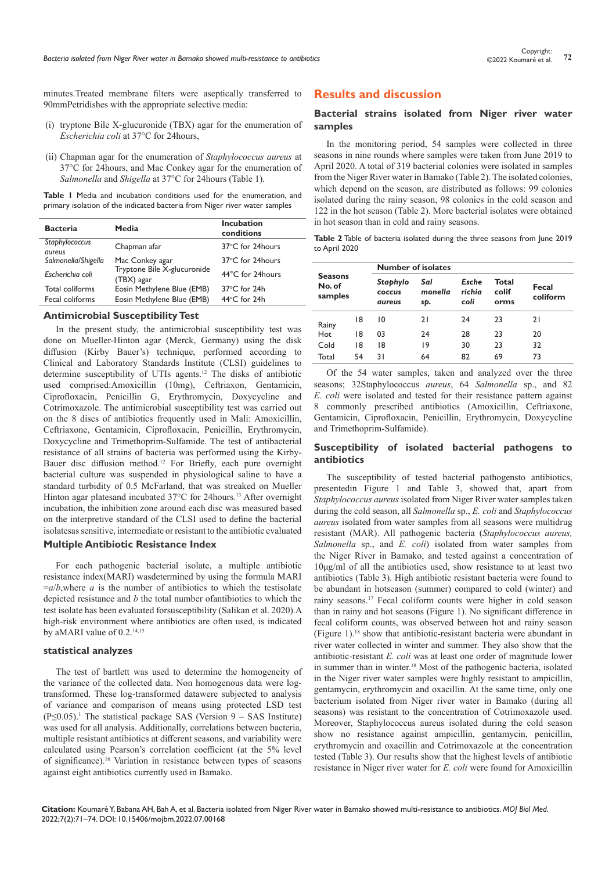minutes.Treated membrane filters were aseptically transferred to 90mmPetridishes with the appropriate selective media:

- (i) tryptone Bile X-glucuronide (TBX) agar for the enumeration of *Escherichia coli* at 37°C for 24hours,
- (ii) Chapman agar for the enumeration of *Staphylococcus aureus* at 37°C for 24hours, and Mac Conkey agar for the enumeration of *Salmonella* and *Shigella* at 37°C for 24hours (Table 1).

**Table 1** Media and incubation conditions used for the enumeration, and primary isolation of the indicated bacteria from Niger river water samples

| <b>Bacteria</b>                 | Media                                     | <b>Incubation</b><br>conditions |
|---------------------------------|-------------------------------------------|---------------------------------|
| Staphylococcus<br><i>aureus</i> | Chapman afar                              | 37°C for 24hours                |
| Salmonella/Shigella             | Mac Conkey agar                           | 37°C for 24hours                |
| Escherichia coli                | Tryptone Bile X-glucuronide<br>(TBX) agar | 44°C for 24hours                |
| Total coliforms                 | Eosin Methylene Blue (EMB)                | $37^{\circ}$ C for 24h          |
| Fecal coliforms                 | Eosin Methylene Blue (EMB)                | 44°C for 24h                    |

#### **Antimicrobial Susceptibility Test**

In the present study, the antimicrobial susceptibility test was done on Mueller-Hinton agar (Merck, Germany) using the disk diffusion (Kirby Bauer's) technique, performed according to Clinical and Laboratory Standards Institute (CLSI) guidelines to determine susceptibility of UTIs agents.12 The disks of antibiotic used comprised:Amoxicillin (10mg), Ceftriaxon, Gentamicin, Ciprofloxacin, Penicillin G, Erythromycin, Doxycycline and Cotrimoxazole. The antimicrobial susceptibility test was carried out on the 8 discs of antibiotics frequently used in Mali: Amoxicillin, Ceftriaxone, Gentamicin, Ciprofloxacin, Penicillin, Erythromycin, Doxycycline and Trimethoprim-Sulfamide. The test of antibacterial resistance of all strains of bacteria was performed using the Kirby-Bauer disc diffusion method.<sup>12</sup> For Briefly, each pure overnight bacterial culture was suspended in physiological saline to have a standard turbidity of 0.5 McFarland, that was streaked on Mueller Hinton agar platesand incubated 37°C for 24hours.<sup>13</sup> After overnight incubation, the inhibition zone around each disc was measured based on the interpretive standard of the CLSI used to define the bacterial isolatesas sensitive, intermediate or resistant to the antibiotic evaluated

#### **Multiple Antibiotic Resistance Index**

For each pathogenic bacterial isolate, a multiple antibiotic resistance index(MARI) wasdetermined by using the formula MARI  $=a/b$ , where *a* is the number of antibiotics to which the testisolate depicted resistance and *b* the total number ofantibiotics to which the test isolate has been evaluated forsusceptibility (Salikan et al. 2020).A high-risk environment where antibiotics are often used, is indicated by aMARI value of 0.2.14,15

#### **statistical analyzes**

The test of bartlett was used to determine the homogeneity of the variance of the collected data. Non homogenous data were logtransformed. These log-transformed datawere subjected to analysis of variance and comparison of means using protected LSD test  $(P \le 0.05)$ .<sup>1</sup> The statistical package SAS (Version 9 – SAS Institute) was used for all analysis. Additionally, correlations between bacteria, multiple resistant antibiotics at different seasons, and variability were calculated using Pearson's correlation coefficient (at the 5% level of significance).16 Variation in resistance between types of seasons against eight antibiotics currently used in Bamako.

## **Results and discussion**

## **Bacterial strains isolated from Niger river water samples**

In the monitoring period, 54 samples were collected in three seasons in nine rounds where samples were taken from June 2019 to April 2020. A total of 319 bacterial colonies were isolated in samples from the Niger River water in Bamako (Table 2). The isolated colonies, which depend on the season, are distributed as follows: 99 colonies isolated during the rainy season, 98 colonies in the cold season and 122 in the hot season (Table 2). More bacterial isolates were obtained in hot season than in cold and rainy seasons.

**Table 2** Table of bacteria isolated during the three seasons from June 2019 to April 2020

|                                     |    | <b>Number of isolates</b>           |                       |                         |                        |                   |
|-------------------------------------|----|-------------------------------------|-----------------------|-------------------------|------------------------|-------------------|
| <b>Seasons</b><br>No. of<br>samples |    | Staphylo<br><b>COCCUS</b><br>aureus | Sal<br>monella<br>sp. | Esche<br>richia<br>coli | Total<br>colif<br>orms | Fecal<br>coliform |
| Rainy                               | 18 | 10                                  | 21                    | 24                      | 23                     | 21                |
| Hot                                 | 18 | 03                                  | 24                    | 28                      | 23                     | 20                |
| Cold                                | 18 | 18                                  | 19                    | 30                      | 23                     | 32                |
| Total                               | 54 | 31                                  | 64                    | 82                      | 69                     | 73                |

Of the 54 water samples, taken and analyzed over the three seasons; 32Staphylococcus *aureus*, 64 *Salmonella* sp., and 82 *E. coli* were isolated and tested for their resistance pattern against 8 commonly prescribed antibiotics (Amoxicillin, Ceftriaxone, Gentamicin, Ciprofloxacin, Penicillin, Erythromycin, Doxycycline and Trimethoprim-Sulfamide).

#### **Susceptibility of isolated bacterial pathogens to antibiotics**

The susceptibility of tested bacterial pathogensto antibiotics, presentedin Figure 1 and Table 3, showed that, apart from *Staphylococcus aureus* isolated from Niger River water samples taken during the cold season, all *Salmonella* sp., *E. coli* and *Staphylococcus aureus* isolated from water samples from all seasons were multidrug resistant (MAR). All pathogenic bacteria (*Staphylococcus aureus, Salmonella* sp., and *E. coli*) isolated from water samples from the Niger River in Bamako, and tested against a concentration of 10μg/ml of all the antibiotics used, show resistance to at least two antibiotics (Table 3). High antibiotic resistant bacteria were found to be abundant in hotseason (summer) compared to cold (winter) and rainy seasons.17 Fecal coliform counts were higher in cold season than in rainy and hot seasons (Figure 1). No significant difference in fecal coliform counts, was observed between hot and rainy season (Figure 1).18 show that antibiotic-resistant bacteria were abundant in river water collected in winter and summer. They also show that the antibiotic-resistant *E. coli* was at least one order of magnitude lower in summer than in winter.18 Most of the pathogenic bacteria, isolated in the Niger river water samples were highly resistant to ampicillin, gentamycin, erythromycin and oxacillin. At the same time, only one bacterium isolated from Niger river water in Bamako (during all seasons) was resistant to the concentration of Cotrimoxazole used. Moreover, Staphylococcus aureus isolated during the cold season show no resistance against ampicillin, gentamycin, penicillin, erythromycin and oxacillin and Cotrimoxazole at the concentration tested (Table 3). Our results show that the highest levels of antibiotic resistance in Niger river water for *E. coli* were found for Amoxicillin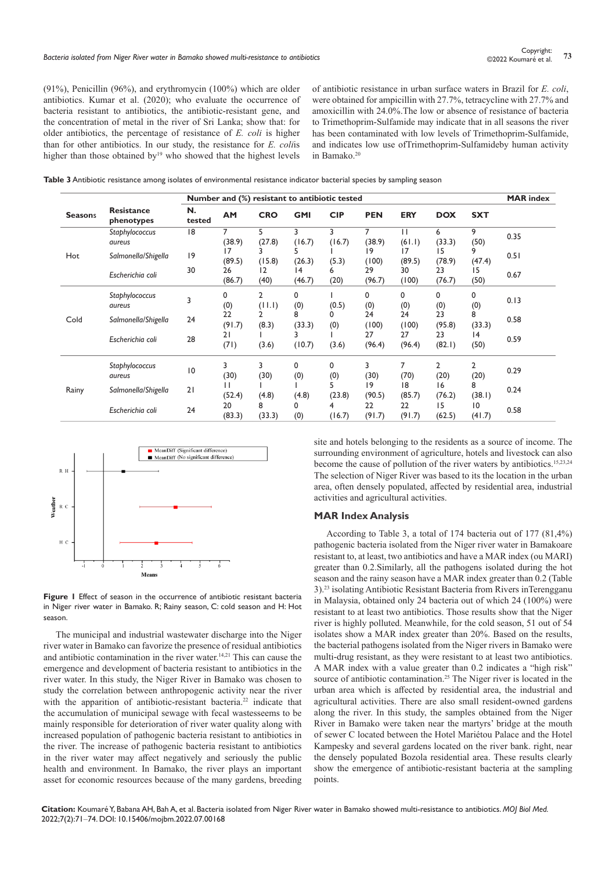(91%), Penicillin (96%), and erythromycin (100%) which are older antibiotics. Kumar et al. (2020); who evaluate the occurrence of bacteria resistant to antibiotics, the antibiotic-resistant gene, and the concentration of metal in the river of Sri Lanka; show that: for older antibiotics, the percentage of resistance of *E. coli* is higher than for other antibiotics. In our study, the resistance for *E. coli*is higher than those obtained by<sup>19</sup> who showed that the highest levels

of antibiotic resistance in urban surface waters in Brazil for *E. coli*, were obtained for ampicillin with 27.7%, tetracycline with 27.7% and amoxicillin with 24.0%.The low or absence of resistance of bacteria to Trimethoprim-Sulfamide may indicate that in all seasons the river has been contaminated with low levels of Trimethoprim-Sulfamide, and indicates low use ofTrimethoprim-Sulfamideby human activity in Bamako.<sup>20</sup>

| Table 3 Antibiotic resistance among isolates of environmental resistance indicator bacterial species by sampling season |  |
|-------------------------------------------------------------------------------------------------------------------------|--|
|-------------------------------------------------------------------------------------------------------------------------|--|

|                |                                 | Number and (%) resistant to antibiotic tested |              |             |              |             |              |              |              | <b>MAR</b> index |      |
|----------------|---------------------------------|-----------------------------------------------|--------------|-------------|--------------|-------------|--------------|--------------|--------------|------------------|------|
| <b>Seasons</b> | <b>Resistance</b><br>phenotypes | N.<br>tested                                  | AM           | <b>CRO</b>  | <b>GMI</b>   | <b>CIP</b>  | <b>PEN</b>   | <b>ERY</b>   | <b>DOX</b>   | <b>SXT</b>       |      |
| Hot            | Staphylococcus<br>aureus        | 18                                            | 7<br>(38.9)  | 5<br>(27.8) | 3<br>(16.7)  | 3<br>(16.7) | 7<br>(38.9)  | П<br>(61.1)  | 6<br>(33.3)  | 9<br>(50)        | 0.35 |
|                | Salmonella/Shigella             | 9                                             | 17<br>(89.5) | 3<br>(15.8) | (26.3)       | (5.3)       | 19<br>(100)  | 17<br>(89.5) | 15<br>(78.9) | 9<br>(47.4)      | 0.51 |
|                | Escherichia coli                | 30                                            | 26<br>(86.7) | 12<br>(40)  | 14<br>(46.7) | 6<br>(20)   | 29<br>(96.7) | 30<br>(100)  | 23<br>(76.7) | 15<br>(50)       | 0.67 |
| Cold           | Staphylococcus<br>aureus        | 3                                             | 0<br>(0)     | 2<br>(11.1) | 0<br>(0)     | (0.5)       | 0<br>(0)     | 0<br>(0)     | 0<br>(0)     | 0<br>(0)         | 0.13 |
|                | Salmonella/Shigella             | 24                                            | 22<br>(91.7) | (8.3)       | 8<br>(33.3)  | 0<br>(0)    | 24<br>(100)  | 24<br>(100)  | 23<br>(95.8) | 8<br>(33.3)      | 0.58 |
|                | Escherichia coli                | 28                                            | 21<br>(71)   | (3.6)       | (10.7)       | (3.6)       | 27<br>(96.4) | 27<br>(96.4) | 23<br>(82.1) | 4<br>(50)        | 0.59 |
| Rainy          | Staphylococcus<br><i>aureus</i> | $\overline{10}$                               | 3<br>(30)    | 3<br>(30)   | 0<br>(0)     | 0<br>(0)    | 3<br>(30)    | 7<br>(70)    | 2<br>(20)    | 2<br>(20)        | 0.29 |
|                | Salmonella/Shigella             | 21                                            | (52.4)       | (4.8)       | (4.8)        | (23.8)      | 19<br>(90.5) | 18<br>(85.7) | 16<br>(76.2) | 8<br>(38.1)      | 0.24 |
|                | Escherichia coli                | 24                                            | 20<br>(83.3) | 8<br>(33.3) | 0<br>(0)     | 4<br>(16.7) | 22<br>(91.7) | 22<br>(91.7) | 15<br>(62.5) | 10<br>(41.7)     | 0.58 |



**Figure 1** Effect of season in the occurrence of antibiotic resistant bacteria in Niger river water in Bamako. R; Rainy season, C: cold season and H: Hot season.

The municipal and industrial wastewater discharge into the Niger river water in Bamako can favorize the presence of residual antibiotics and antibiotic contamination in the river water.<sup>14,21</sup> This can cause the emergence and development of bacteria resistant to antibiotics in the river water. In this study, the Niger River in Bamako was chosen to study the correlation between anthropogenic activity near the river with the apparition of antibiotic-resistant bacteria.<sup>22</sup> indicate that the accumulation of municipal sewage with fecal wastesseems to be mainly responsible for deterioration of river water quality along with increased population of pathogenic bacteria resistant to antibiotics in the river. The increase of pathogenic bacteria resistant to antibiotics in the river water may affect negatively and seriously the public health and environment. In Bamako, the river plays an important asset for economic resources because of the many gardens, breeding site and hotels belonging to the residents as a source of income. The surrounding environment of agriculture, hotels and livestock can also become the cause of pollution of the river waters by antibiotics.15,23,24 The selection of Niger River was based to its the location in the urban area, often densely populated, affected by residential area, industrial activities and agricultural activities.

#### **MAR Index Analysis**

According to Table 3, a total of 174 bacteria out of 177 (81,4%) pathogenic bacteria isolated from the Niger river water in Bamakoare resistant to, at least, two antibiotics and have a MAR index (ou MARI) greater than 0.2.Similarly, all the pathogens isolated during the hot season and the rainy season have a MAR index greater than 0.2 (Table 3).23 isolating Antibiotic Resistant Bacteria from Rivers inTerengganu in Malaysia, obtained only 24 bacteria out of which 24 (100%) were resistant to at least two antibiotics. Those results show that the Niger river is highly polluted. Meanwhile, for the cold season, 51 out of 54 isolates show a MAR index greater than 20%. Based on the results, the bacterial pathogens isolated from the Niger rivers in Bamako were multi-drug resistant, as they were resistant to at least two antibiotics. A MAR index with a value greater than 0.2 indicates a "high risk" source of antibiotic contamination.<sup>25</sup> The Niger river is located in the urban area which is affected by residential area, the industrial and agricultural activities. There are also small resident-owned gardens along the river. In this study, the samples obtained from the Niger River in Bamako were taken near the martyrs' bridge at the mouth of sewer C located between the Hotel Mariétou Palace and the Hotel Kampesky and several gardens located on the river bank. right, near the densely populated Bozola residential area. These results clearly show the emergence of antibiotic-resistant bacteria at the sampling points.